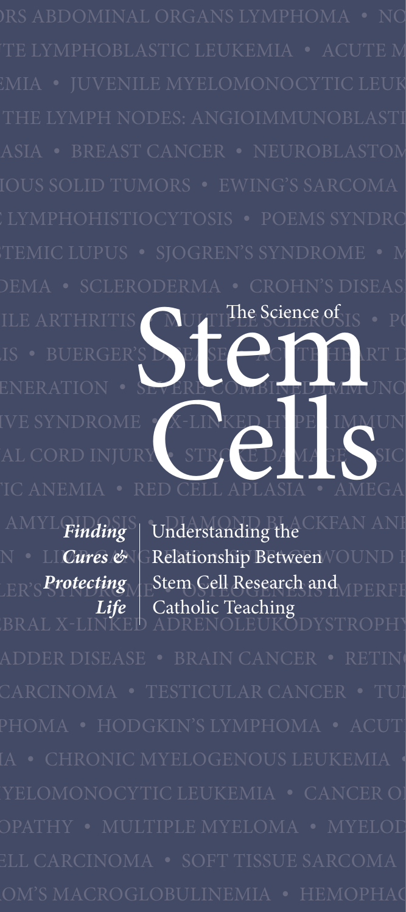ILE ARTHRITIS AULTIPLE SCIENCE OF IS • PO IS • BUERGER'S DIE EASE • ACITE HEART D ENERATION • SEVERE COMBINED IMMUNO IVE SYNDROME • X-LINKED HYPERIMMUN AL CORD INJURY • STROKE DAMAGE • SIC TC ANEMIA • RED CELL APLASIA • AMEGA RTHRITIS NUTTIE Science of E X-LINKED H PE IMMI

> *Finding Cures & Protecting Life*

AMYL**Einding**<sup>S</sup> Understanding the CKFAN ANE N • LI*Cures &* IGRelationship Between **VOUND** F  $\mathcal{L}_{\text{ER'S}}$ Protecting $\bigwedge_{\text{B}}$ Stem Cell Research and  $\bigwedge_{\text{IPERF}}$ BRAL X-LINKED ADRENOLEUKODYSTROPHY: Understanding the Catholic Teaching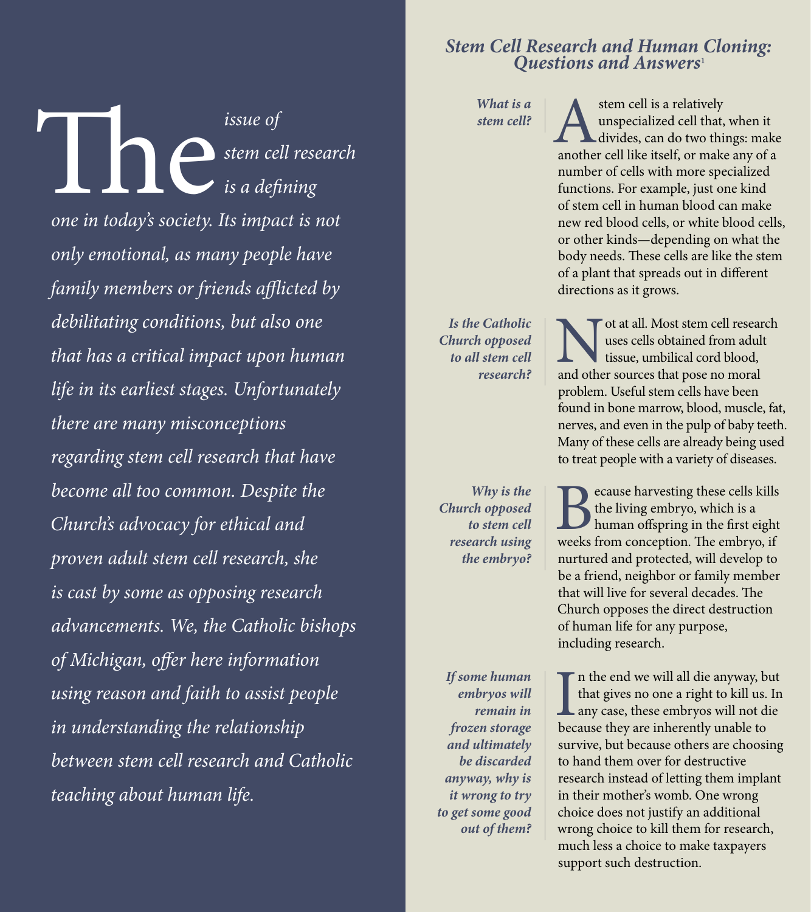# *Stem Cell Research and Human Cloning:*<br>Ouestions and Answers<sup>1</sup>

*What is a* 

*What is a* **cell? A** stem cell is a relatively unspecialized cell that, when it divides, can do two things: make another cell like itself, or make any of a unspecialized cell that, when it divides, can do two things: make number of cells with more specialized functions. For example, just one kind of stem cell in human blood can make new red blood cells, or white blood cells, or other kinds—depending on what the body needs. These cells are like the stem of a plant that spreads out in different directions as it grows.

> Not at all. Most stem cell research and other sources that pose no moral uses cells obtained from adult tissue, umbilical cord blood, problem. Useful stem cells have been found in bone marrow, blood, muscle, fat, nerves, and even in the pulp of baby teeth. Many of these cells are already being used to treat people with a variety of diseases.

Because harvesting these cells kills<br>the living embryo, which is a<br>human offspring in the first eight<br>weeks from conception. The embryo, if the living embryo, which is a human offspring in the first eight weeks from conception. The embryo, if nurtured and protected, will develop to be a friend, neighbor or family member that will live for several decades. The Church opposes the direct destruction of human life for any purpose, including research.

I<br>bec  $\Gamma$  n the end we will all die anyway, but that gives no one a right to kill us. In any case, these embryos will not die because they are inherently unable to survive, but because others are choosing to hand them over for destructive research instead of letting them implant in their mother's womb. One wrong choice does not justify an additional wrong choice to kill them for research, much less a choice to make taxpayers support such destruction.

MYELOMONOCYTIC LEUKEMIA • CANCER OF THE LYMPH NODES: ANGIOIMMUNOBLASTIC LYMPHADENOP ATHY • MULTIPLE MYELOMA • MYELODYSPLASIA • BREAST CANCER • NEUROBLASTOMA • RENAL CELL CARCINOMA • SOFTI TUMORS • SOFTI TUMORS • SOFTI TUMORS • SOFTI TUMORS • EWINDI MACROSET *one in tod*  $F = \frac{S}{\text{S}}$  only emc er automatic family men DISEASE • RHEUMATOID ARTHRITIS • JUVENILE ARTHRITIS • MULTIPLE SCLEROSIS • POLYCHONDRITIS • S *debilitating conditions, but also one that has a critical impact upon human* **CORONARY EXECUTE** • CORNER EXECUTE **115** Synd<sup>there</sup> are m Syndage • Parkinson's Disease • Spinal Corp in the Spinal Corp in the Spinal Co *become all too common. Despite the* MBOC*hurch's advoca proven adult stem cell research, she* replacement is cast by son *advancements. We, the Catholic bishops* FAILURE • LIVER CIRRHOSIS • END-STAGE BLADDER DISEASE • BRAIN CANCER • RETINOBLASTOMA • OVA *of Michigan, offer here information using reason and faith to assist people in understanding the relationship* <u>LEUKEMI</u><br>Elektronic My<sub>el</sub>ogen MYELOMONOCYTIC LEUKEMIA • CHRONIC CHRONIC CHRONIC CHRONIC CHRONIC CHRONIC CHRONIC CHRONIC LEUKEMIA • CHRONIC C **issue of**<br>stem cel<br>one in today's society. Its impact *stem cell research is a defining one in today's society. Its impact is not only emotional, as many people have family members or friends afflicted by life in its earliest stages. Unfortunately there are many misconceptions regarding stem cell research that have Church's advocacy for ethical and is cast by some as opposing research between stem cell research and Catholic teaching about human life.*

*research?*

*Is the Catholic Church opposed to all stem cell* 

*Why is the Church opposed to stem cell research using the embryo?*

*If some human embryos will remain in frozen storage and ultimately be discarded anyway, why is it wrong to try to get some good out of them?*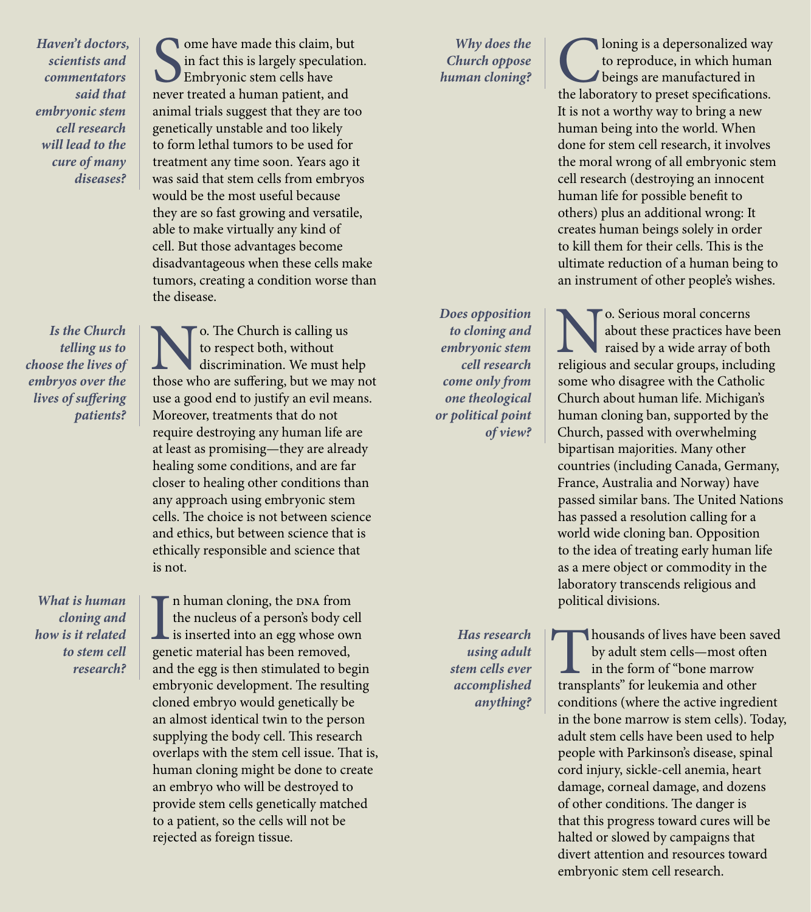*Haven't doctors, scientists and commentators said that embryonic stem cell research will lead to the cure of many diseases?*

*Is the Church telling us to choose the lives of embryos over the lives of suffering patients?*

*What is human cloning and how is it related to stem cell research?*

Some have made this claim, but<br>in fact this is largely speculation<br>Embryonic stem cells have<br>never treated a human patient, and ome have made this claim, but in fact this is largely speculation. Embryonic stem cells have animal trials suggest that they are too genetically unstable and too likely to form lethal tumors to be used for treatment any time soon. Years ago it was said that stem cells from embryos would be the most useful because they are so fast growing and versatile, able to make virtually any kind of cell. But those advantages become disadvantageous when these cells make tumors, creating a condition worse than the disease.

**No.** The Church is calling us<br>to respect both, without<br>those who are suffering, but we may not to respect both, without discrimination. We must help use a good end to justify an evil means. Moreover, treatments that do not require destroying any human life are at least as promising—they are already healing some conditions, and are far closer to healing other conditions than any approach using embryonic stem cells. The choice is not between science and ethics, but between science that is ethically responsible and science that is not.

I<sub>gen</sub> n human cloning, the DNA from the nucleus of a person's body cell is inserted into an egg whose own genetic material has been removed, and the egg is then stimulated to begin embryonic development. The resulting cloned embryo would genetically be an almost identical twin to the person supplying the body cell. This research overlaps with the stem cell issue. That is, human cloning might be done to create an embryo who will be destroyed to provide stem cells genetically matched to a patient, so the cells will not be rejected as foreign tissue.

*Why does the Church oppose* 

*Does opposition to cloning and embryonic stem cell research come only from one theological or political point of view?*

*Why does the*<br> *human cloning?*<br> **Church oppose**<br> **Chuman cloning?**<br> **Chuman cloning?**<br> **Chuman cloning?**<br> **Chuman** the laboratory to preset specifications. beings are manufactured in It is not a worthy way to bring a new human being into the world. When done for stem cell research, it involves the moral wrong of all embryonic stem cell research (destroying an innocent human life for possible benefit to others) plus an additional wrong: It creates human beings solely in order to kill them for their cells. This is the ultimate reduction of a human being to

an instrument of other people's wishes.

to reproduce, in which human

**No.** Serious moral concerns<br>
raised by a wide array of both<br>
religious and secular groups, including about these practices have been raised by a wide array of both some who disagree with the Catholic Church about human life. Michigan's human cloning ban, supported by the Church, passed with overwhelming bipartisan majorities. Many other countries (including Canada, Germany, France, Australia and Norway) have passed similar bans. The United Nations has passed a resolution calling for a world wide cloning ban. Opposition to the idea of treating early human life as a mere object or commodity in the laboratory transcends religious and political divisions.

Thousands of lives have been saved<br>by adult stem cells—most often<br>in the form of "bone marrow<br>transplants" for leukemia and other by adult stem cells—most often in the form of "bone marrow conditions (where the active ingredient in the bone marrow is stem cells). Today, adult stem cells have been used to help people with Parkinson's disease, spinal cord injury, sickle-cell anemia, heart damage, corneal damage, and dozens of other conditions. The danger is that this progress toward cures will be halted or slowed by campaigns that divert attention and resources toward embryonic stem cell research.

*Has research using adult stem cells ever accomplished anything?*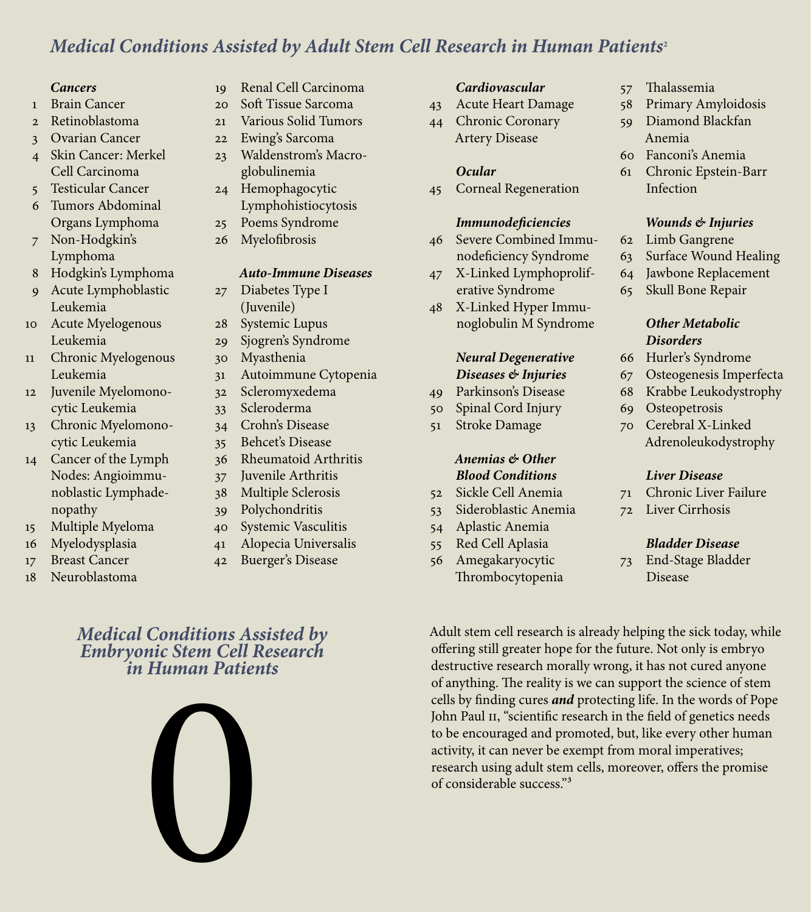### *Medical Conditions Assisted by Adult Stem Cell Research in Human Patients*²

#### *Cancers*

- Brain Cancer
- 2 Retinoblastoma
- 3 Ovarian Cancer
- 4 Skin Cancer: Merkel Cell Carcinoma
- 5 Testicular Cancer
- 6 Tumors Abdominal Organs Lymphoma
- 7 Non-Hodgkin's Lymphoma
- 8 Hodgkin's Lymphoma
- 9 Acute Lymphoblastic Leukemia
- 10 Acute Myelogenous Leukemia
- Chronic Myelogenous Leukemia
- 2 Juvenile Myelomonocytic Leukemia
- 3 Chronic Myelomonocytic Leukemia
- 4 Cancer of the Lymph Nodes: Angioimmunoblastic Lymphadenopathy
- 5 Multiple Myeloma
- 6 Myelodysplasia
- 7 Breast Cancer
- 8 Neuroblastoma
- 9 Renal Cell Carcinoma
- 20 Soft Tissue Sarcoma
- 21 Various Solid Tumors
- 22 Ewing's Sarcoma
- 23 Waldenstrom's Macroglobulinemia
- 24 Hemophagocytic Lymphohistiocytosis
- 25 Poems Syndrome
- 26 Myelofibrosis

#### *Auto-Immune Diseases*

- 27 Diabetes Type I (Juvenile)
- 28 Systemic Lupus
- 29 Sjogren's Syndrome
- 30 Myasthenia
- 31 Autoimmune Cytopenia
- 32 Scleromyxedema
- 33 Scleroderma
- 34 Crohn's Disease 35 Behcet's Disease
- 36 Rheumatoid Arthritis
- 37 Juvenile Arthritis
- 38 Multiple Sclerosis
- 39 Polychondritis
- 40 Systemic Vasculitis
- 41 Alopecia Universalis
- 42 Buerger's Disease

### *Medical Conditions Assisted by Embryonic Stem Cell Research in Human Patients*



#### *Cardiovascular*

- 43 Acute Heart Damage
- 44 Chronic Coronary Artery Disease

#### *Ocular*

45 Corneal Regeneration

#### *Immunodeficiencies*

- 46 Severe Combined Immunodeficiency Syndrome
- 47 X-Linked Lymphoproliferative Syndrome
- 48 X-Linked Hyper Immunoglobulin M Syndrome

#### *Neural Degenerative Diseases & Injuries*

- 49 Parkinson's Disease
- 50 Spinal Cord Injury
- 51 Stroke Damage

#### *Anemias & Other Blood Conditions*

- 52 Sickle Cell Anemia
- 53 Sideroblastic Anemia
- 54 Aplastic Anemia
- 55 Red Cell Aplasia
- 56 Amegakaryocytic Thrombocytopenia
- 57 Thalassemia
- 58 Primary Amyloidosis
- 59 Diamond Blackfan Anemia
- 60 Fanconi's Anemia
- 61 Chronic Epstein-Barr Infection

#### *Wounds & Injuries*

- 62 Limb Gangrene
- 63 Surface Wound Healing
- 64 Jawbone Replacement
- 65 Skull Bone Repair

#### *Other Metabolic Disorders*

- 66 Hurler's Syndrome
- 67 Osteogenesis Imperfecta
- 68 Krabbe Leukodystrophy
- 69 Osteopetrosis
- 70 Cerebral X-Linked Adrenoleukodystrophy

#### *Liver Disease*

- 71 Chronic Liver Failure
- 72 Liver Cirrhosis

#### *Bladder Disease*

73 End-Stage Bladder Disease

Adult stem cell research is already helping the sick today, while offering still greater hope for the future. Not only is embryo destructive research morally wrong, it has not cured anyone of anything. The reality is we can support the science of stem cells by finding cures *and* protecting life. In the words of Pope John Paul II, "scientific research in the field of genetics needs to be encouraged and promoted, but, like every other human activity, it can never be exempt from moral imperatives; research using adult stem cells, moreover, offers the promise of considerable success."³